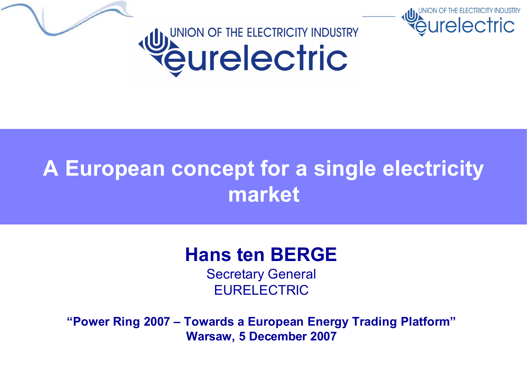



relectric

#### **Hans ten BERGE**

Secretary General EURELECTRIC

**"Power Ring 2007 – Towards a European Energy Trading Platform" Warsaw, 5 December 2007**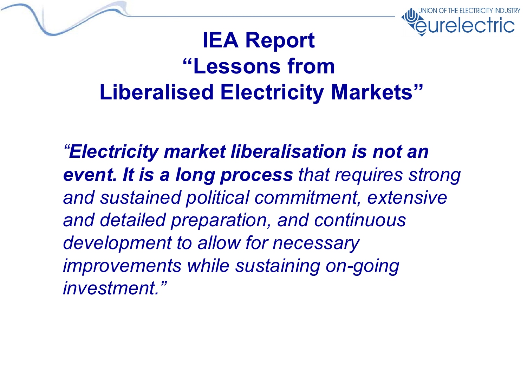

#### **IEA Report "Lessons from Liberalised Electricity Markets"**

*"Electricity market liberalisation is not an event. It is a long process that requires strong and sustained political commitment, extensive and detailed preparation, and continuous development to allow for necessary improvements while sustaining on-going investment."*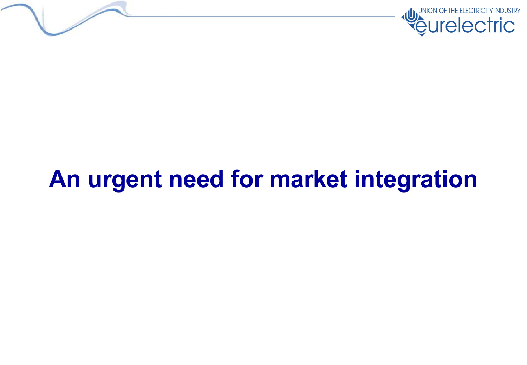



# **An urgent need for market integration**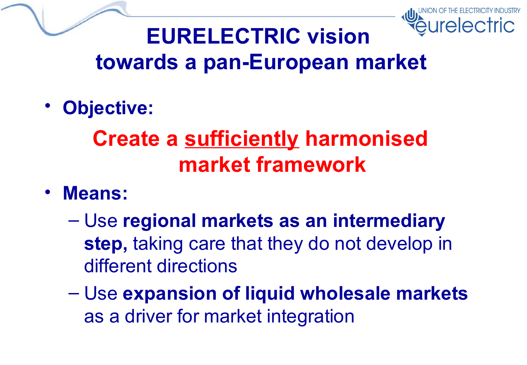

#### **EURELECTRIC vision towards a pan-European market**

• **Objective:**

## **Create a sufficiently harmonised market framework**

- **Means:**
	- Use **regional markets as an intermediary step,** taking care that they do not develop in different directions
	- Use **expansion of liquid wholesale markets** as a driver for market integration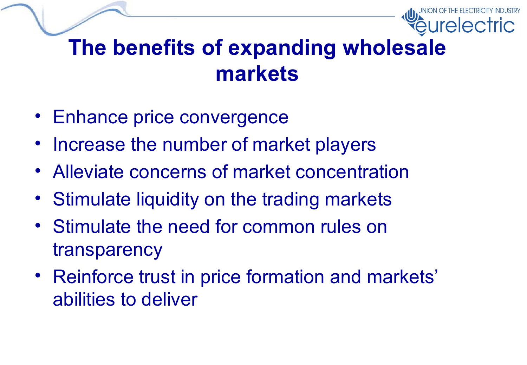

#### **The benefits of expanding wholesale markets**

- Enhance price convergence
- Increase the number of market players
- Alleviate concerns of market concentration
- Stimulate liquidity on the trading markets
- Stimulate the need for common rules on transparency
- Reinforce trust in price formation and markets' abilities to deliver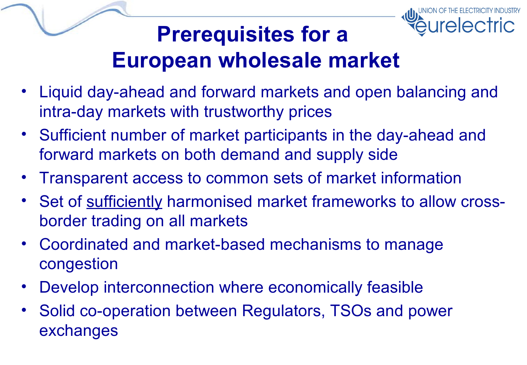

## **Prerequisites for a European wholesale market**

- Liquid day-ahead and forward markets and open balancing and intra-day markets with trustworthy prices
- Sufficient number of market participants in the day-ahead and forward markets on both demand and supply side
- Transparent access to common sets of market information
- Set of sufficiently harmonised market frameworks to allow crossborder trading on all markets
- Coordinated and market-based mechanisms to manage congestion
- Develop interconnection where economically feasible
- Solid co-operation between Regulators, TSOs and power exchanges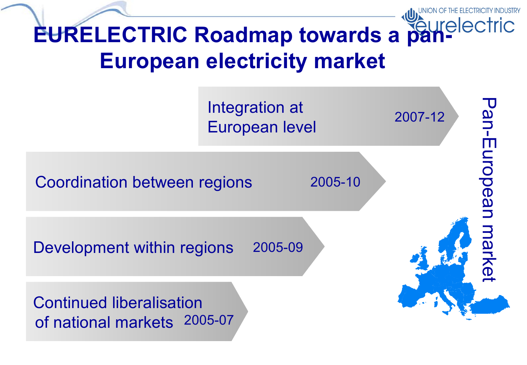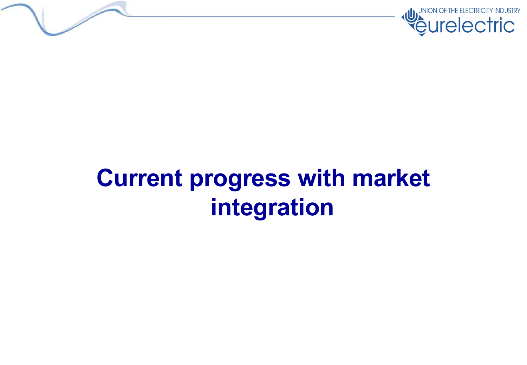



# **Current progress with market integration**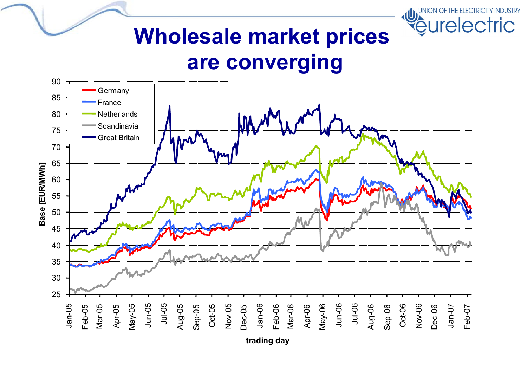

#### **Wholesale market prices are converging**



**trading day**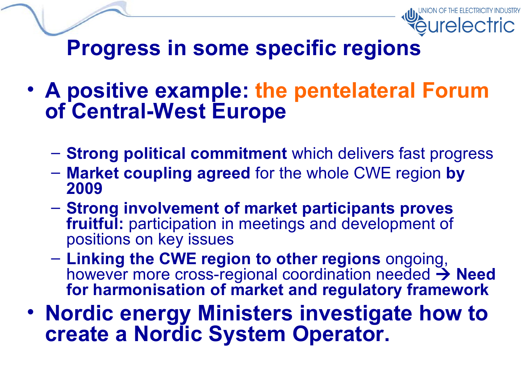

**Progress in some specific regions**

- **A positive example: the pentelateral Forum of Central-West Europe**
	- **Strong political commitment** which delivers fast progress
	- **Market coupling agreed** for the whole CWE region **by 2009**
	- **Strong involvement of market participants proves fruitful:** participation in meetings and development of positions on key issues
	- **Linking the CWE region to other regions** ongoing, however more cross-regional coordination needed  $\rightarrow$  **Need for harmonisation of market and regulatory framework**
- **Nordic energy Ministers investigate how to create a Nordic System Operator.**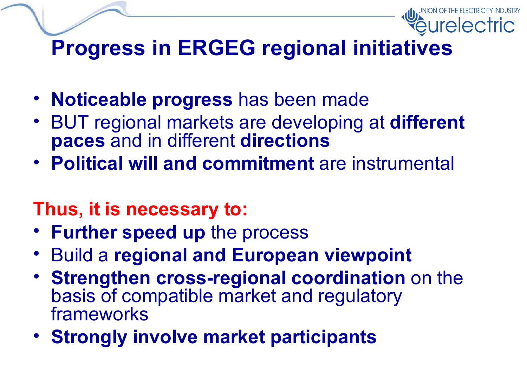## **Progress in ERGEG regional initiatives**

- **Noticeable progress** has been made
- BUT regional markets are developing at **different paces** and in different **directions**
- **Political will and commitment** are instrumental

#### **Thus, it is necessary to:**

- **Further speed up** the process
- Build a **regional and European viewpoint**
- **Strengthen cross-regional coordination** on the basis of compatible market and regulatory frameworks
- **Strongly involve market participants**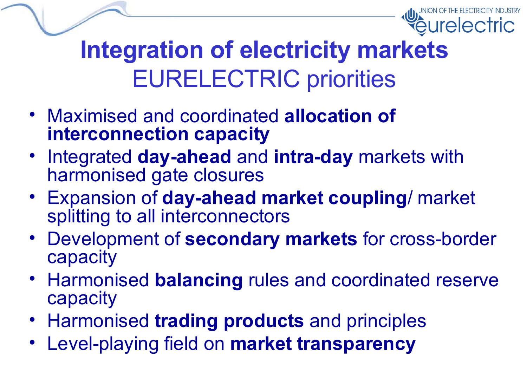

# **Integration of electricity markets** EURELECTRIC priorities

- Maximised and coordinated **allocation of interconnection capacity**
- Integrated **day-ahead** and **intra-day** markets with harmonised gate closures
- Expansion of **day-ahead market coupling**/ market splitting to all interconnectors
- Development of **secondary markets** for cross-border capacity
- Harmonised **balancing** rules and coordinated reserve capacity
- Harmonised **trading products** and principles
- Level-playing field on **market transparency**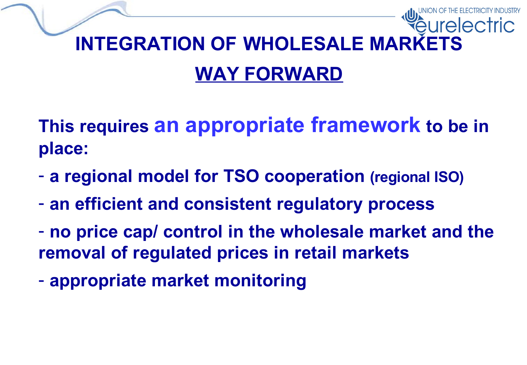# **INTEGRATION OF WHOLESALE MARKETS WAY FORWARD**

**This requires an appropriate framework to be in place:**

- **a regional model for TSO cooperation (regional ISO)**
- **an efficient and consistent regulatory process**
- **no price cap/ control in the wholesale market and the removal of regulated prices in retail markets**
- **appropriate market monitoring**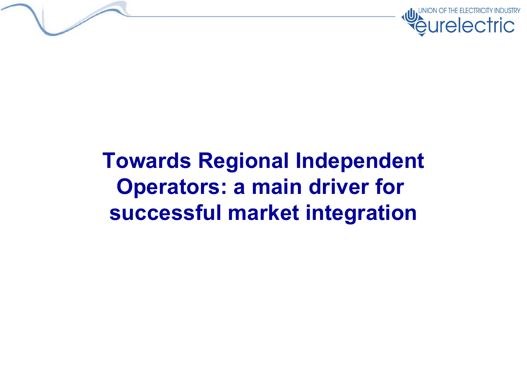

#### **Towards Regional Independent Operators: a main driver for successful market integration**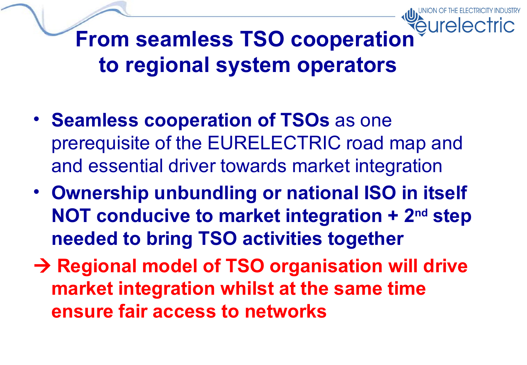

- **Seamless cooperation of TSOs** as one prerequisite of the EURELECTRIC road map and and essential driver towards market integration
- **Ownership unbundling or national ISO in itself NOT conducive to market integration + 2 nd step needed to bring TSO activities together**
- **Regional model of TSO organisation will drive market integration whilst at the same time ensure fair access to networks**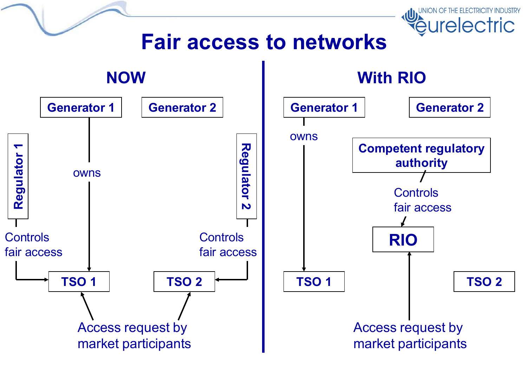#### **Fair access to networks**

UNION OF THE ELECTRICITY INDUSTRY

*<u>eurelectric</u>* 

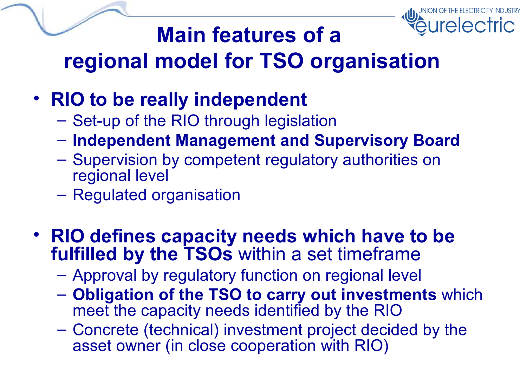

## **Main features of a regional model for TSO organisation**

- **RIO to be really independent**
	- Set-up of the RIO through legislation
	- **Independent Management and Supervisory Board**
	- Supervision by competent regulatory authorities on regional level
	- Regulated organisation
- **RIO defines capacity needs which have to be fulfilled by the TSOs** within a set timeframe
	- Approval by regulatory function on regional level
	- **Obligation of the TSO to carry out investments** which meet the capacity needs identified by the RIO
	- Concrete (technical) investment project decided by the asset owner (in close cooperation with RIO)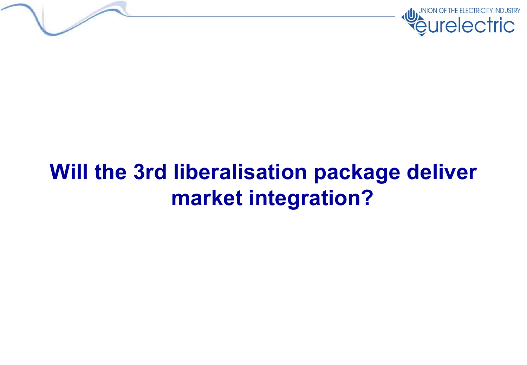



## **Will the 3rd liberalisation package deliver market integration?**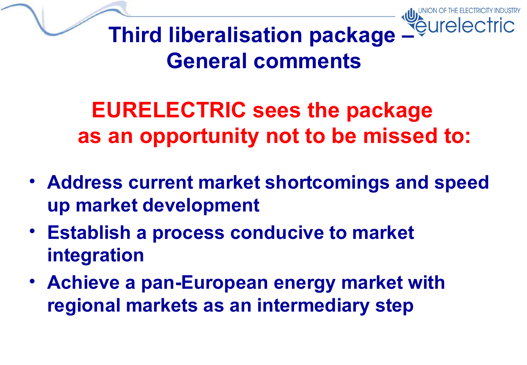

**Third liberalisation package – General comments**

**EURELECTRIC sees the package as an opportunity not to be missed to:**

- **Address current market shortcomings and speed up market development**
- **Establish a process conducive to market integration**
- **Achieve a pan-European energy market with regional markets as an intermediary step**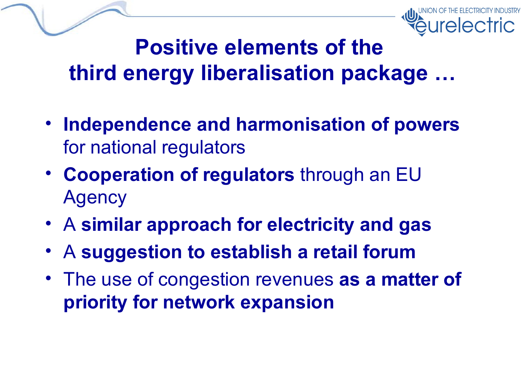

#### **Positive elements of the third energy liberalisation package …**

- **Independence and harmonisation of powers** for national regulators
- **Cooperation of regulators** through an EU Agency
- A **similar approach for electricity and gas**
- A **suggestion to establish a retail forum**
- The use of congestion revenues **as a matter of priority for network expansion**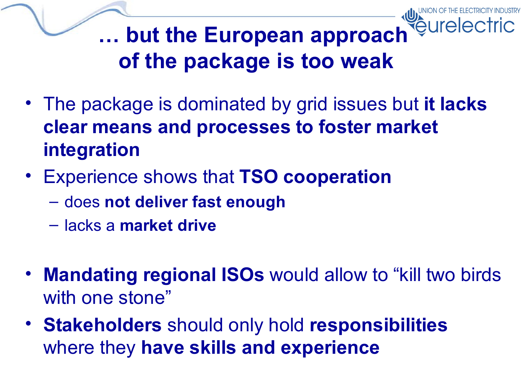**… but the European approach of the package is too weak**

- The package is dominated by grid issues but **it lacks clear means and processes to foster market integration**
- Experience shows that **TSO cooperation**
	- does **not deliver fast enough**
	- lacks a **market drive**
- **Mandating regional ISOs** would allow to "kill two birds with one stone"
- **Stakeholders** should only hold **responsibilities** where they **have skills and experience**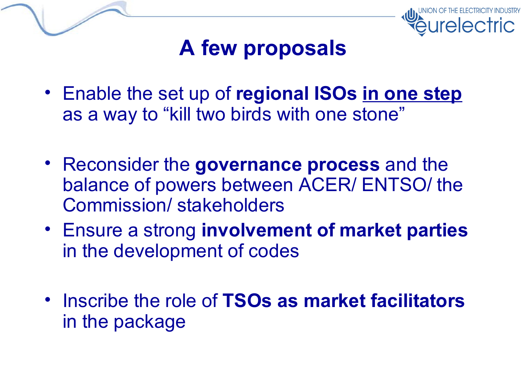



#### **A few proposals**

- Enable the set up of **regional ISOs in one step** as a way to "kill two birds with one stone"
- Reconsider the **governance process** and the balance of powers between ACER/ ENTSO/ the Commission/ stakeholders
- Ensure a strong **involvement of market parties** in the development of codes
- Inscribe the role of **TSOs as market facilitators** in the package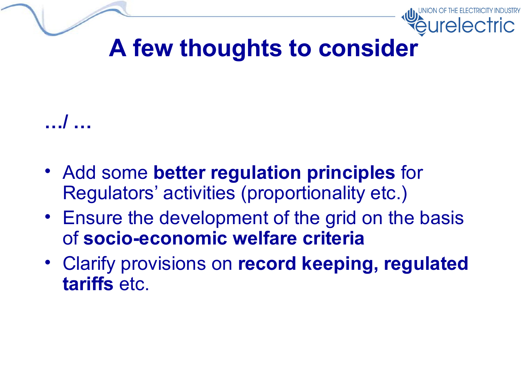

## **A few thoughts to consider**

#### **…/ …**

- Add some **better regulation principles** for Regulators' activities (proportionality etc.)
- Ensure the development of the grid on the basis of **socio-economic welfare criteria**
- Clarify provisions on **record keeping, regulated tariffs** etc.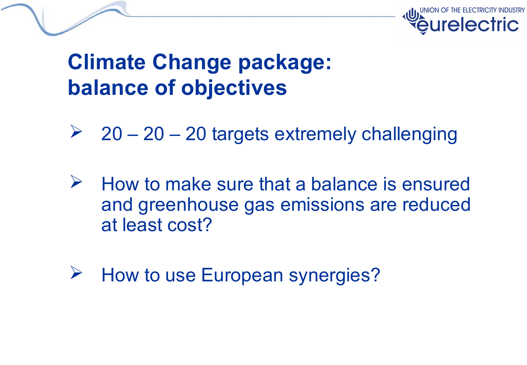

#### **Climate Change package: balance of objectives**

- $20 20 20$  targets extremely challenging
- $\triangleright$  How to make sure that a balance is ensured and greenhouse gas emissions are reduced at least cost?
- $\triangleright$  How to use European synergies?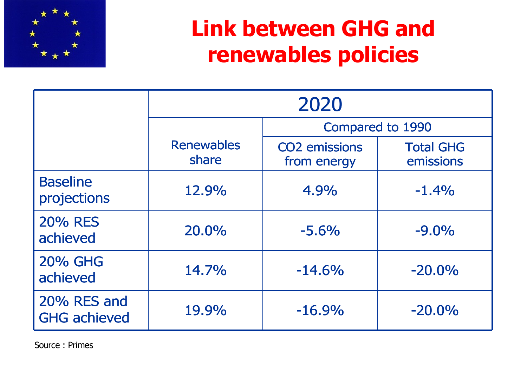

### **Link between GHG and renewables policies**

|                                    | 2020                       |                                     |                               |  |  |
|------------------------------------|----------------------------|-------------------------------------|-------------------------------|--|--|
|                                    |                            | Compared to 1990                    |                               |  |  |
|                                    | <b>Renewables</b><br>share | <b>CO2</b> emissions<br>from energy | <b>Total GHG</b><br>emissions |  |  |
| <b>Baseline</b><br>projections     | 12.9%                      | 4.9%                                | $-1.4%$                       |  |  |
| <b>20% RES</b><br>achieved         | 20.0%                      | $-5.6%$                             | $-9.0%$                       |  |  |
| <b>20% GHG</b><br>achieved         | 14.7%                      | $-14.6%$                            | $-20.0%$                      |  |  |
| 20% RES and<br><b>GHG</b> achieved | 19.9%                      | $-16.9%$                            | $-20.0%$                      |  |  |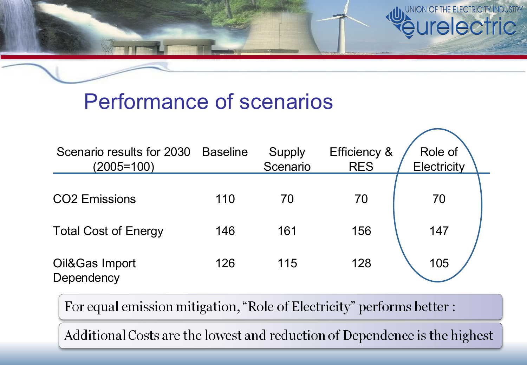

#### Performance of scenarios

| Scenario results for 2030<br>$(2005=100)$ | <b>Baseline</b> | Supply<br>Scenario | Efficiency &<br><b>RES</b> | Role of<br>Electricity |
|-------------------------------------------|-----------------|--------------------|----------------------------|------------------------|
| <b>CO2</b> Emissions                      | 110             | 70                 | 70                         | 70                     |
| <b>Total Cost of Energy</b>               | 146             | 161                | 156                        | 147                    |
| Oil&Gas Import<br>Dependency              | 126             | 115                | 128                        | 105                    |

For equal emission mitigation, "Role of Electricity" performs better :

Additional Costs are the lowest and reduction of Dependence is the highest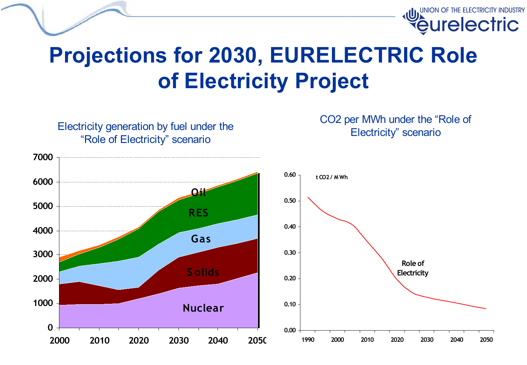

#### **Projections for 2030, EURELECTRIC Role of Electricity Project**

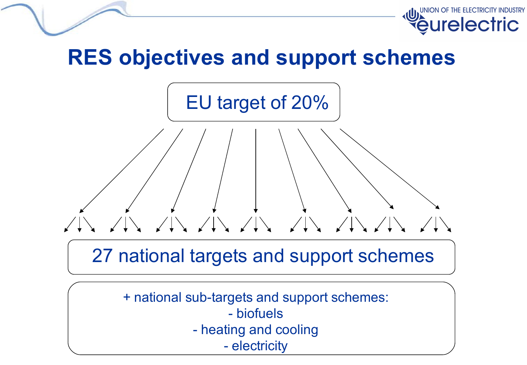

#### **RES objectives and support schemes**



#### 27 national targets and support schemes

+ national sub-targets and support schemes: - biofuels - heating and cooling - electricity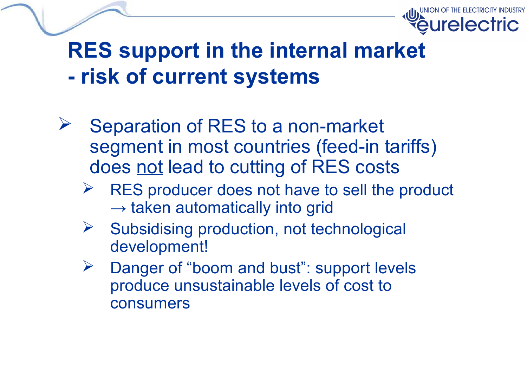

#### **RES support in the internal market - risk of current systems**

- Separation of RES to a non-market segment in most countries (feed-in tariffs) does not lead to cutting of RES costs
	- RES producer does not have to sell the product  $\rightarrow$  taken automatically into grid
	- $\triangleright$  Subsidising production, not technological development!
	- Danger of "boom and bust": support levels produce unsustainable levels of cost to consumers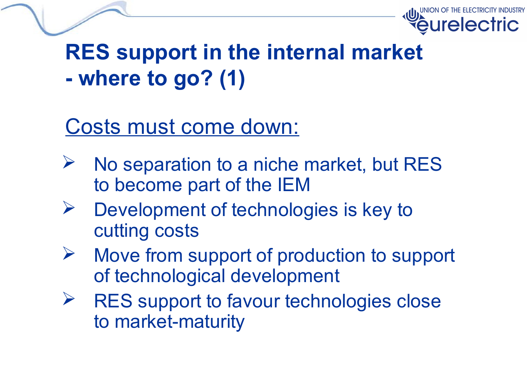

## **RES support in the internal market - where to go? (1)**

#### Costs must come down:

- $\triangleright$  No separation to a niche market, but RES to become part of the IEM
- $\triangleright$  Development of technologies is key to cutting costs
- $\triangleright$  Move from support of production to support of technological development
- $\triangleright$  RES support to favour technologies close to market-maturity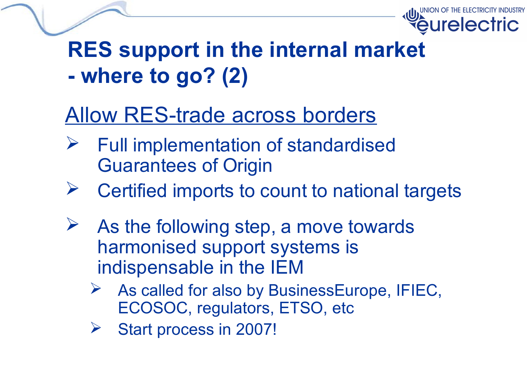

## **RES support in the internal market - where to go? (2)**

#### Allow RES-trade across borders

- $\triangleright$  Full implementation of standardised Guarantees of Origin
- $\triangleright$  Certified imports to count to national targets
- $\triangleright$  As the following step, a move towards harmonised support systems is indispensable in the IEM
	- $\triangleright$  As called for also by BusinessEurope, IFIEC, ECOSOC, regulators, ETSO, etc
	- ▶ Start process in 2007!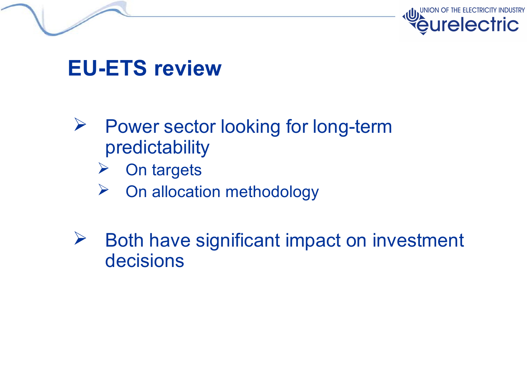



#### **EU-ETS review**

- $\triangleright$  Power sector looking for long-term predictability
	- $\triangleright$  On targets
	- $\triangleright$  On allocation methodology
- $\triangleright$  Both have significant impact on investment decisions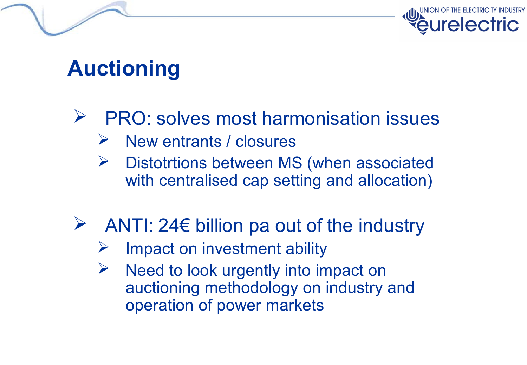



#### **Auctioning**

- $\triangleright$  PRO: solves most harmonisation issues
	- $\triangleright$  New entrants / closures
	- Distotrtions between MS (when associated with centralised cap setting and allocation)
- ANTI: 24 $\epsilon$  billion pa out of the industry
	- Impact on investment ability
	- $\triangleright$  Need to look urgently into impact on auctioning methodology on industry and operation of power markets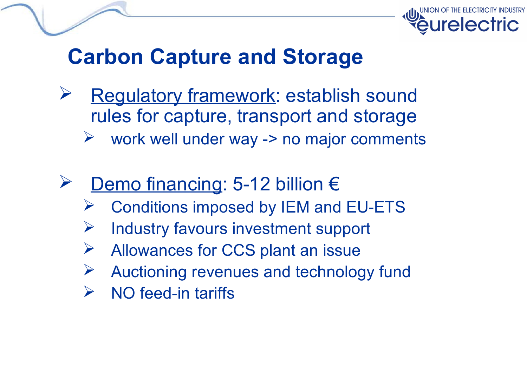



#### **Carbon Capture and Storage**

- **Requiatory framework: establish sound** rules for capture, transport and storage  $\triangleright$  work well under way -> no major comments
- Demo financing: 5-12 billion €
	- Conditions imposed by IEM and EU-ETS
	- Industry favours investment support
	- Allowances for CCS plant an issue
	- $\triangleright$  Auctioning revenues and technology fund
	- $\triangleright$  NO feed-in tariffs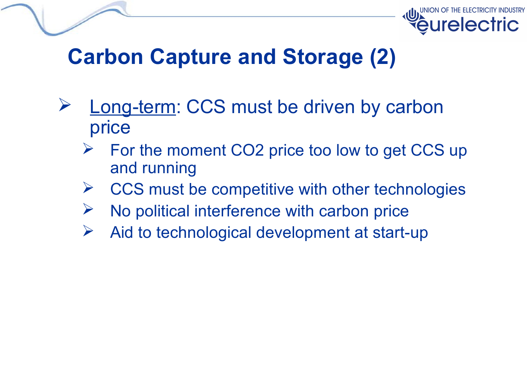



#### **Carbon Capture and Storage (2)**

- Long-term: CCS must be driven by carbon price
	- $\triangleright$  For the moment CO2 price too low to get CCS up and running
	- CCS must be competitive with other technologies
	- No political interference with carbon price
	- $\triangleright$  Aid to technological development at start-up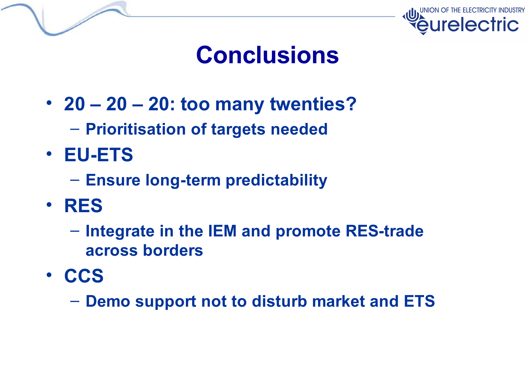



## **Conclusions**

- **20 – 20 – 20: too many twenties?**
	- **Prioritisation of targets needed**
- **EU-ETS**
	- **Ensure long-term predictability**
- **RES**
	- **Integrate in the IEM and promote RES-trade across borders**
- **CCS**

– **Demo support not to disturb market and ETS**